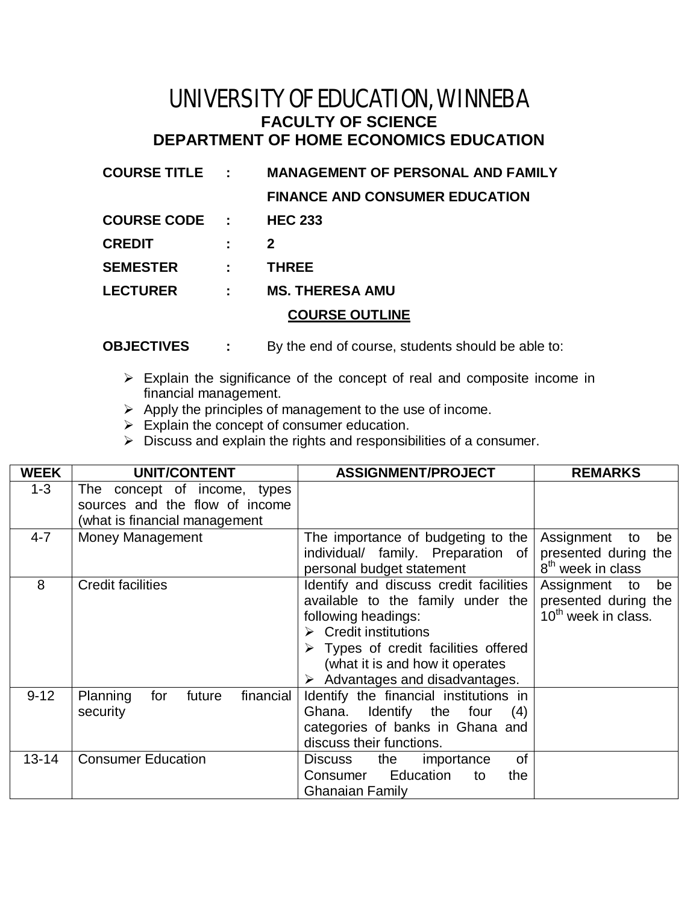## UNIVERSITY OF EDUCATION, WINNEBA **FACULTY OF SCIENCE DEPARTMENT OF HOME ECONOMICS EDUCATION**

| <b>COURSE TITLE :</b> |   | <b>MANAGEMENT OF PERSONAL AND FAMILY</b> |  |
|-----------------------|---|------------------------------------------|--|
|                       |   | <b>FINANCE AND CONSUMER EDUCATION</b>    |  |
| <b>COURSE CODE :</b>  |   | <b>HEC 233</b>                           |  |
| <b>CREDIT</b>         |   | $\mathbf{2}$                             |  |
| <b>SEMESTER</b>       |   | <b>THREE</b>                             |  |
| <b>LECTURER</b>       | ÷ | <b>MS. THERESA AMU</b>                   |  |
| <b>COURSE OUTLINE</b> |   |                                          |  |

- **OBJECTIVES :** By the end of course, students should be able to:
	- $\triangleright$  Explain the significance of the concept of real and composite income in financial management.
	- $\triangleright$  Apply the principles of management to the use of income.
	- $\triangleright$  Explain the concept of consumer education.
	- $\triangleright$  Discuss and explain the rights and responsibilities of a consumer.

| <b>WEEK</b> | <b>UNIT/CONTENT</b>                                               | <b>ASSIGNMENT/PROJECT</b>                                                                                                                                                                                                                                                              | <b>REMARKS</b>                                                                 |
|-------------|-------------------------------------------------------------------|----------------------------------------------------------------------------------------------------------------------------------------------------------------------------------------------------------------------------------------------------------------------------------------|--------------------------------------------------------------------------------|
| $1 - 3$     | concept of income, types<br>The<br>sources and the flow of income |                                                                                                                                                                                                                                                                                        |                                                                                |
|             | (what is financial management                                     |                                                                                                                                                                                                                                                                                        |                                                                                |
| $4 - 7$     | Money Management                                                  | The importance of budgeting to the<br>individual/ family. Preparation of<br>personal budget statement                                                                                                                                                                                  | Assignment to<br>be<br>presented during the<br>8 <sup>th</sup> week in class   |
| 8           | <b>Credit facilities</b>                                          | Identify and discuss credit facilities<br>available to the family under the<br>following headings:<br>$\triangleright$ Credit institutions<br>$\triangleright$ Types of credit facilities offered<br>(what it is and how it operates<br>$\triangleright$ Advantages and disadvantages. | be<br>Assignment to<br>presented during the<br>10 <sup>th</sup> week in class. |
| $9 - 12$    | financial<br>Planning<br>future<br>for<br>security                | Identify the financial institutions in<br>Ghana.<br>Identify the four<br>(4)<br>categories of banks in Ghana and<br>discuss their functions.                                                                                                                                           |                                                                                |
| $13 - 14$   | <b>Consumer Education</b>                                         | 0f<br>Discuss<br>the<br>importance<br>Education<br>Consumer<br>to<br>the<br><b>Ghanaian Family</b>                                                                                                                                                                                     |                                                                                |